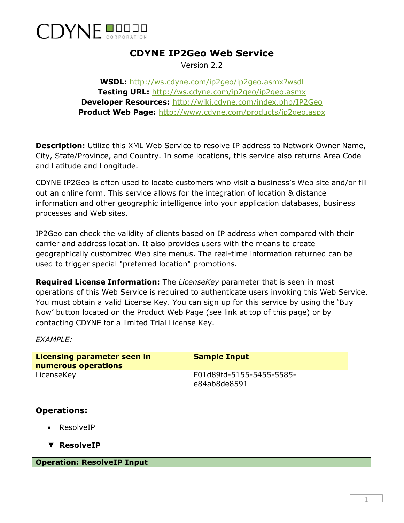

## **CDYNE IP2Geo Web Service**

Version 2.2

**WSDL:** <http://ws.cdyne.com/ip2geo/ip2geo.asmx?wsdl> **Testing URL:** <http://ws.cdyne.com/ip2geo/ip2geo.asmx> **Developer Resources:** <http://wiki.cdyne.com/index.php/IP2Geo> **Product Web Page:** <http://www.cdyne.com/products/ip2geo.aspx>

**Description:** Utilize this XML Web Service to resolve IP address to Network Owner Name, City, State/Province, and Country. In some locations, this service also returns Area Code and Latitude and Longitude.

CDYNE IP2Geo is often used to locate customers who visit a business's Web site and/or fill out an online form. This service allows for the integration of location & distance information and other geographic intelligence into your application databases, business processes and Web sites.

IP2Geo can check the validity of clients based on IP address when compared with their carrier and address location. It also provides users with the means to create geographically customized Web site menus. The real-time information returned can be used to trigger special "preferred location" promotions.

**Required License Information:** The *LicenseKey* parameter that is seen in most operations of this Web Service is required to authenticate users invoking this Web Service. You must obtain a valid License Key. You can sign up for this service by using the 'Buy Now' button located on the Product Web Page (see link at top of this page) or by contacting CDYNE for a limited Trial License Key.

*EXAMPLE:*

| Licensing parameter seen in<br>numerous operations | <b>Sample Input</b>                      |
|----------------------------------------------------|------------------------------------------|
| LicenseKey                                         | F01d89fd-5155-5455-5585-<br>e84ab8de8591 |

## **Operations:**

- ResolveIP
- ▼ **ResolveIP**

**Operation: ResolveIP Input**